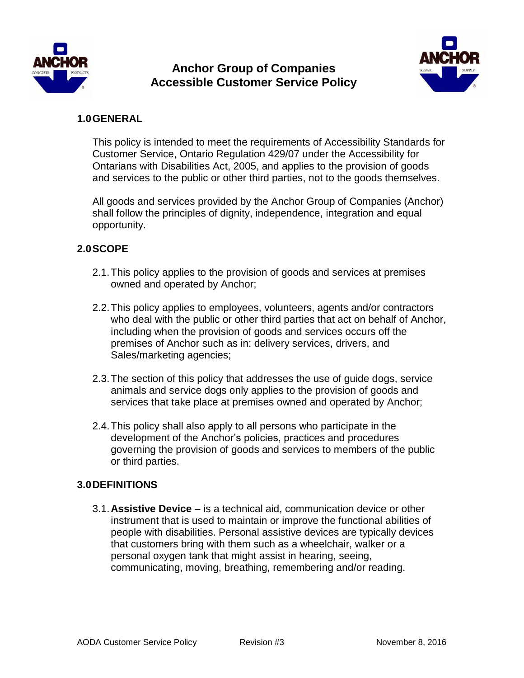

# **Anchor Group of Companies Accessible Customer Service Policy**



### **1.0GENERAL**

This policy is intended to meet the requirements of Accessibility Standards for Customer Service, Ontario Regulation 429/07 under the Accessibility for Ontarians with Disabilities Act, 2005, and applies to the provision of goods and services to the public or other third parties, not to the goods themselves.

All goods and services provided by the Anchor Group of Companies (Anchor) shall follow the principles of dignity, independence, integration and equal opportunity.

# **2.0SCOPE**

- 2.1.This policy applies to the provision of goods and services at premises owned and operated by Anchor;
- 2.2.This policy applies to employees, volunteers, agents and/or contractors who deal with the public or other third parties that act on behalf of Anchor, including when the provision of goods and services occurs off the premises of Anchor such as in: delivery services, drivers, and Sales/marketing agencies;
- 2.3.The section of this policy that addresses the use of guide dogs, service animals and service dogs only applies to the provision of goods and services that take place at premises owned and operated by Anchor;
- 2.4.This policy shall also apply to all persons who participate in the development of the Anchor's policies, practices and procedures governing the provision of goods and services to members of the public or third parties.

### **3.0DEFINITIONS**

3.1.**Assistive Device** – is a technical aid, communication device or other instrument that is used to maintain or improve the functional abilities of people with disabilities. Personal assistive devices are typically devices that customers bring with them such as a wheelchair, walker or a personal oxygen tank that might assist in hearing, seeing, communicating, moving, breathing, remembering and/or reading.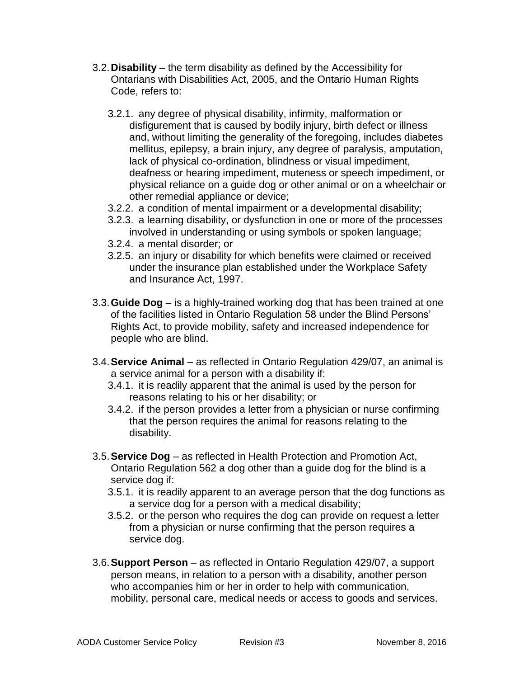- 3.2.**Disability** the term disability as defined by the Accessibility for Ontarians with Disabilities Act, 2005, and the Ontario Human Rights Code, refers to:
	- 3.2.1. any degree of physical disability, infirmity, malformation or disfigurement that is caused by bodily injury, birth defect or illness and, without limiting the generality of the foregoing, includes diabetes mellitus, epilepsy, a brain injury, any degree of paralysis, amputation, lack of physical co-ordination, blindness or visual impediment, deafness or hearing impediment, muteness or speech impediment, or physical reliance on a guide dog or other animal or on a wheelchair or other remedial appliance or device;
	- 3.2.2. a condition of mental impairment or a developmental disability;
	- 3.2.3. a learning disability, or dysfunction in one or more of the processes involved in understanding or using symbols or spoken language;
	- 3.2.4. a mental disorder; or
	- 3.2.5. an injury or disability for which benefits were claimed or received under the insurance plan established under the Workplace Safety and Insurance Act, 1997.
- 3.3.**Guide Dog** is a highly-trained working dog that has been trained at one of the facilities listed in Ontario Regulation 58 under the Blind Persons' Rights Act, to provide mobility, safety and increased independence for people who are blind.
- 3.4.**Service Animal** as reflected in Ontario Regulation 429/07, an animal is a service animal for a person with a disability if:
	- 3.4.1. it is readily apparent that the animal is used by the person for reasons relating to his or her disability; or
	- 3.4.2. if the person provides a letter from a physician or nurse confirming that the person requires the animal for reasons relating to the disability.
- 3.5.**Service Dog** as reflected in Health Protection and Promotion Act, Ontario Regulation 562 a dog other than a guide dog for the blind is a service dog if:
	- 3.5.1. it is readily apparent to an average person that the dog functions as a service dog for a person with a medical disability;
	- 3.5.2. or the person who requires the dog can provide on request a letter from a physician or nurse confirming that the person requires a service dog.
- 3.6.**Support Person** as reflected in Ontario Regulation 429/07, a support person means, in relation to a person with a disability, another person who accompanies him or her in order to help with communication, mobility, personal care, medical needs or access to goods and services.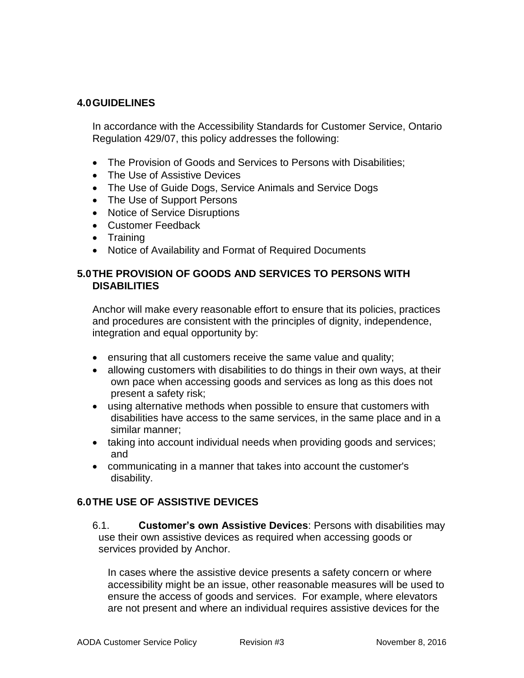### **4.0GUIDELINES**

In accordance with the Accessibility Standards for Customer Service, Ontario Regulation 429/07, this policy addresses the following:

- The Provision of Goods and Services to Persons with Disabilities;
- The Use of Assistive Devices
- The Use of Guide Dogs, Service Animals and Service Dogs
- The Use of Support Persons
- Notice of Service Disruptions
- Customer Feedback
- Training
- Notice of Availability and Format of Required Documents

### **5.0THE PROVISION OF GOODS AND SERVICES TO PERSONS WITH DISABILITIES**

Anchor will make every reasonable effort to ensure that its policies, practices and procedures are consistent with the principles of dignity, independence, integration and equal opportunity by:

- ensuring that all customers receive the same value and quality;
- allowing customers with disabilities to do things in their own ways, at their own pace when accessing goods and services as long as this does not present a safety risk;
- using alternative methods when possible to ensure that customers with disabilities have access to the same services, in the same place and in a similar manner;
- taking into account individual needs when providing goods and services; and
- communicating in a manner that takes into account the customer's disability.

### **6.0THE USE OF ASSISTIVE DEVICES**

6.1. **Customer's own Assistive Devices**: Persons with disabilities may use their own assistive devices as required when accessing goods or services provided by Anchor.

In cases where the assistive device presents a safety concern or where accessibility might be an issue, other reasonable measures will be used to ensure the access of goods and services. For example, where elevators are not present and where an individual requires assistive devices for the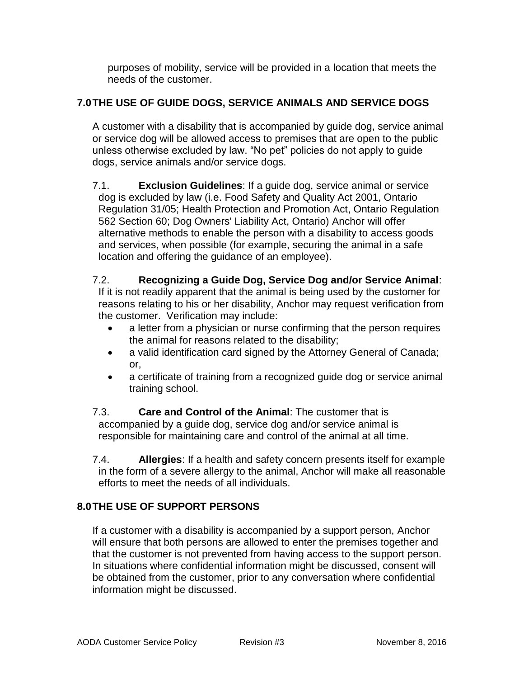purposes of mobility, service will be provided in a location that meets the needs of the customer.

# **7.0THE USE OF GUIDE DOGS, SERVICE ANIMALS AND SERVICE DOGS**

A customer with a disability that is accompanied by guide dog, service animal or service dog will be allowed access to premises that are open to the public unless otherwise excluded by law. "No pet" policies do not apply to guide dogs, service animals and/or service dogs.

7.1. **Exclusion Guidelines**: If a guide dog, service animal or service dog is excluded by law (i.e. Food Safety and Quality Act 2001, Ontario Regulation 31/05; Health Protection and Promotion Act, Ontario Regulation 562 Section 60; Dog Owners' Liability Act, Ontario) Anchor will offer alternative methods to enable the person with a disability to access goods and services, when possible (for example, securing the animal in a safe location and offering the guidance of an employee).

# 7.2. **Recognizing a Guide Dog, Service Dog and/or Service Animal**:

If it is not readily apparent that the animal is being used by the customer for reasons relating to his or her disability, Anchor may request verification from the customer. Verification may include:

- a letter from a physician or nurse confirming that the person requires the animal for reasons related to the disability;
- a valid identification card signed by the Attorney General of Canada; or,
- a certificate of training from a recognized guide dog or service animal training school.

7.3. **Care and Control of the Animal**: The customer that is accompanied by a guide dog, service dog and/or service animal is responsible for maintaining care and control of the animal at all time.

7.4. **Allergies**: If a health and safety concern presents itself for example in the form of a severe allergy to the animal, Anchor will make all reasonable efforts to meet the needs of all individuals.

# **8.0THE USE OF SUPPORT PERSONS**

If a customer with a disability is accompanied by a support person, Anchor will ensure that both persons are allowed to enter the premises together and that the customer is not prevented from having access to the support person. In situations where confidential information might be discussed, consent will be obtained from the customer, prior to any conversation where confidential information might be discussed.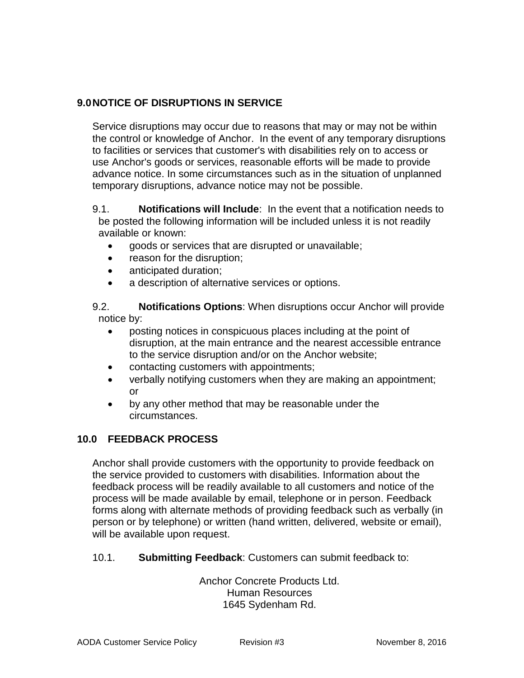# **9.0NOTICE OF DISRUPTIONS IN SERVICE**

Service disruptions may occur due to reasons that may or may not be within the control or knowledge of Anchor. In the event of any temporary disruptions to facilities or services that customer's with disabilities rely on to access or use Anchor's goods or services, reasonable efforts will be made to provide advance notice. In some circumstances such as in the situation of unplanned temporary disruptions, advance notice may not be possible.

#### 9.1. **Notifications will Include**: In the event that a notification needs to be posted the following information will be included unless it is not readily available or known:

- goods or services that are disrupted or unavailable;
- reason for the disruption;
- anticipated duration;
- a description of alternative services or options.

9.2. **Notifications Options**: When disruptions occur Anchor will provide notice by:

- posting notices in conspicuous places including at the point of disruption, at the main entrance and the nearest accessible entrance to the service disruption and/or on the Anchor website;
- contacting customers with appointments;
- verbally notifying customers when they are making an appointment; or
- by any other method that may be reasonable under the circumstances.

# **10.0 FEEDBACK PROCESS**

Anchor shall provide customers with the opportunity to provide feedback on the service provided to customers with disabilities. Information about the feedback process will be readily available to all customers and notice of the process will be made available by email, telephone or in person. Feedback forms along with alternate methods of providing feedback such as verbally (in person or by telephone) or written (hand written, delivered, website or email), will be available upon request.

### 10.1. **Submitting Feedback**: Customers can submit feedback to:

Anchor Concrete Products Ltd. Human Resources 1645 Sydenham Rd.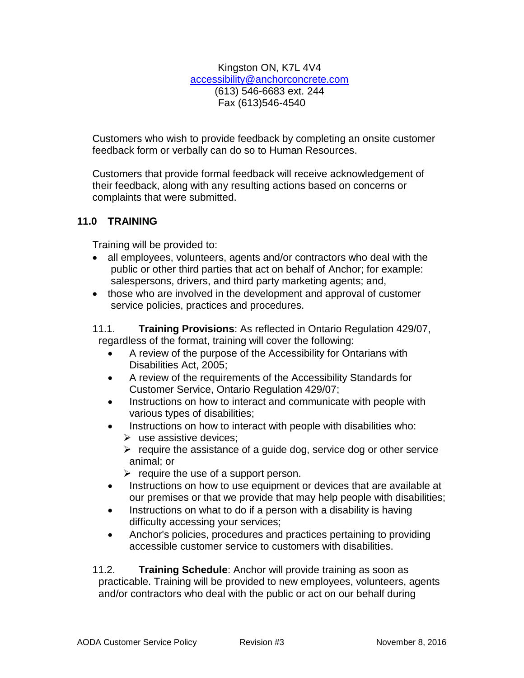Kingston ON, K7L 4V4 [accessibility@anchorconcrete.com](mailto:accessibility@anchorconcrete.com) (613) 546-6683 ext. 244 Fax (613)546-4540

Customers who wish to provide feedback by completing an onsite customer feedback form or verbally can do so to Human Resources.

Customers that provide formal feedback will receive acknowledgement of their feedback, along with any resulting actions based on concerns or complaints that were submitted.

# **11.0 TRAINING**

Training will be provided to:

- all employees, volunteers, agents and/or contractors who deal with the public or other third parties that act on behalf of Anchor; for example: salespersons, drivers, and third party marketing agents; and,
- those who are involved in the development and approval of customer service policies, practices and procedures.
- 11.1. **Training Provisions**: As reflected in Ontario Regulation 429/07, regardless of the format, training will cover the following:
	- A review of the purpose of the Accessibility for Ontarians with Disabilities Act, 2005;
	- A review of the requirements of the Accessibility Standards for Customer Service, Ontario Regulation 429/07;
	- Instructions on how to interact and communicate with people with various types of disabilities;
	- Instructions on how to interact with people with disabilities who:
		- $\triangleright$  use assistive devices;
		- $\triangleright$  require the assistance of a guide dog, service dog or other service animal; or
		- $\triangleright$  require the use of a support person.
	- Instructions on how to use equipment or devices that are available at our premises or that we provide that may help people with disabilities;
	- Instructions on what to do if a person with a disability is having difficulty accessing your services;
	- Anchor's policies, procedures and practices pertaining to providing accessible customer service to customers with disabilities.

11.2. **Training Schedule**: Anchor will provide training as soon as practicable. Training will be provided to new employees, volunteers, agents and/or contractors who deal with the public or act on our behalf during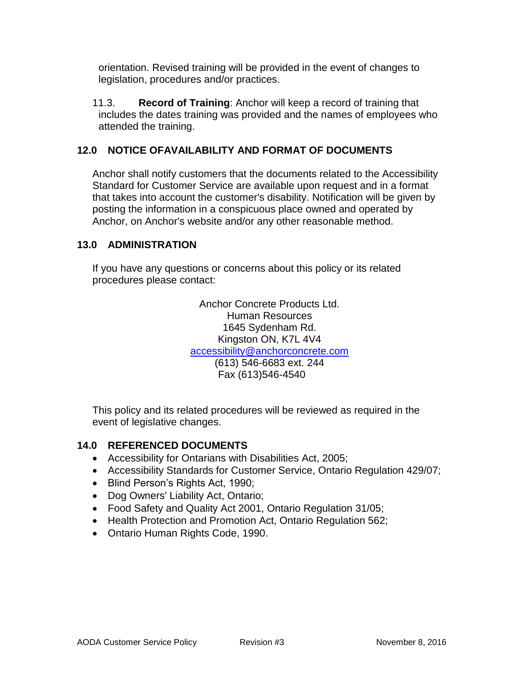orientation. Revised training will be provided in the event of changes to legislation, procedures and/or practices.

11.3. **Record of Training**: Anchor will keep a record of training that includes the dates training was provided and the names of employees who attended the training.

# **12.0 NOTICE OFAVAILABILITY AND FORMAT OF DOCUMENTS**

Anchor shall notify customers that the documents related to the Accessibility Standard for Customer Service are available upon request and in a format that takes into account the customer's disability. Notification will be given by posting the information in a conspicuous place owned and operated by Anchor, on Anchor's website and/or any other reasonable method.

### **13.0 ADMINISTRATION**

If you have any questions or concerns about this policy or its related procedures please contact:

> Anchor Concrete Products Ltd. Human Resources 1645 Sydenham Rd. Kingston ON, K7L 4V4 [accessibility@anchorconcrete.com](mailto:accessibility@anchorconcrete.com) (613) 546-6683 ext. 244 Fax (613)546-4540

This policy and its related procedures will be reviewed as required in the event of legislative changes.

### **14.0 REFERENCED DOCUMENTS**

- Accessibility for Ontarians with Disabilities Act, 2005;
- Accessibility Standards for Customer Service, Ontario Regulation 429/07;
- Blind Person's Rights Act, 1990;
- Dog Owners' Liability Act, Ontario;
- Food Safety and Quality Act 2001, Ontario Regulation 31/05;
- Health Protection and Promotion Act, Ontario Regulation 562;
- Ontario Human Rights Code, 1990.